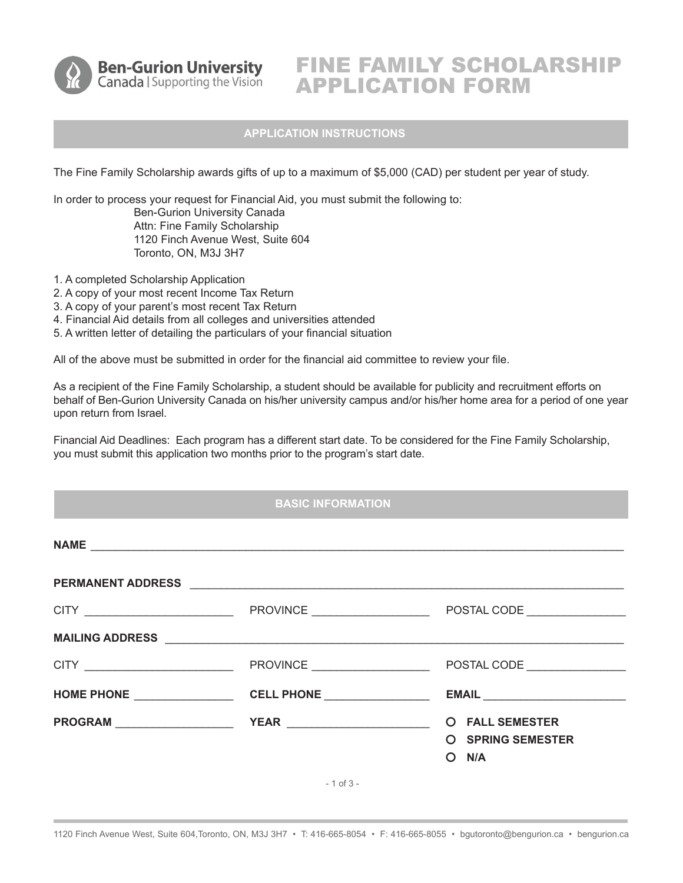

**Ben-Gurion University** Canada | Supporting the Vision

# FINE FAMILY SCHOLARSHIP APPLICATION FORM

## **APPLICATION INSTRUCTIONS**

The Fine Family Scholarship awards gifts of up to a maximum of \$5,000 (CAD) per student per year of study.

In order to process your request for Financial Aid, you must submit the following to: Ben-Gurion University Canada Attn: Fine Family Scholarship 1120 Finch Avenue West, Suite 604 Toronto, ON, M3J 3H7

- 1. A completed Scholarship Application
- 2. A copy of your most recent Income Tax Return
- 3. A copy of your parent's most recent Tax Return
- 4. Financial Aid details from all colleges and universities attended
- 5. A written letter of detailing the particulars of your financial situation

All of the above must be submitted in order for the financial aid committee to review your file.

As a recipient of the Fine Family Scholarship, a student should be available for publicity and recruitment efforts on behalf of Ben-Gurion University Canada on his/her university campus and/or his/her home area for a period of one year upon return from Israel.

Financial Aid Deadlines: Each program has a different start date. To be considered for the Fine Family Scholarship, you must submit this application two months prior to the program's start date.

## **BASIC INFORMATION**

| CITY __________________________ |                                         | POSTAL CODE                                                   |
|---------------------------------|-----------------------------------------|---------------------------------------------------------------|
|                                 |                                         | EMAIL <b>EMAIL</b>                                            |
| PROGRAM PROGRAM                 | <b>YEAR</b> ___________________________ | <b>O</b> FALL SEMESTER<br><b>O</b> SPRING SEMESTER<br>$O$ N/A |

- 1 of 3 -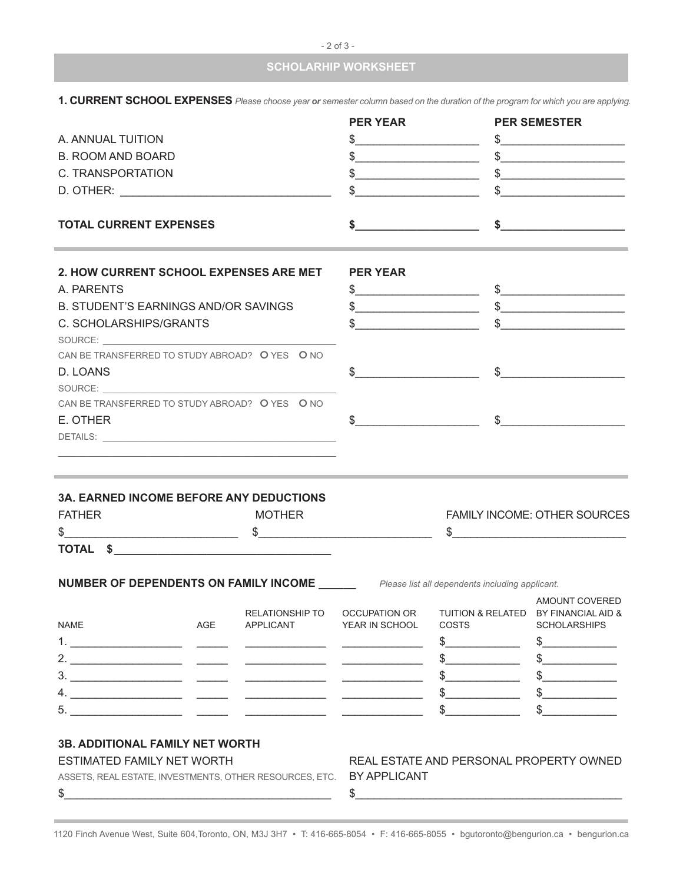|  |  | and the contract of the con- | $\sim$ |  |
|--|--|------------------------------|--------|--|
|--|--|------------------------------|--------|--|

## **SCHOLARHIP WORKSHEET**

| A. ANNUAL TUITION<br><b>B. ROOM AND BOARD</b><br>C. TRANSPORTATION                                                                                                                                                                                                                                                                                                                                                                                                                                                                                                                                                                                                                                                            |     |                                            | <b>PER YEAR</b><br>$\frac{1}{2}$<br>$\frac{1}{2}$<br>$\frac{1}{2}$                                             |                                                                                                                                                                                                                                                                                                                     | <b>PER SEMESTER</b><br>$\begin{picture}(20,10) \put(0,0){\vector(1,0){100}} \put(15,0){\vector(1,0){100}} \put(15,0){\vector(1,0){100}} \put(15,0){\vector(1,0){100}} \put(15,0){\vector(1,0){100}} \put(15,0){\vector(1,0){100}} \put(15,0){\vector(1,0){100}} \put(15,0){\vector(1,0){100}} \put(15,0){\vector(1,0){100}} \put(15,0){\vector(1,0){100}} \put(15,0){\vector(1,0){100}} \$<br>$\frac{1}{2}$<br>$\begin{picture}(20,10) \put(0,0){\vector(1,0){100}} \put(15,0){\vector(1,0){100}} \put(15,0){\vector(1,0){100}} \put(15,0){\vector(1,0){100}} \put(15,0){\vector(1,0){100}} \put(15,0){\vector(1,0){100}} \put(15,0){\vector(1,0){100}} \put(15,0){\vector(1,0){100}} \put(15,0){\vector(1,0){100}} \put(15,0){\vector(1,0){100}} \put(15,0){\vector(1,0){100}} \$ |
|-------------------------------------------------------------------------------------------------------------------------------------------------------------------------------------------------------------------------------------------------------------------------------------------------------------------------------------------------------------------------------------------------------------------------------------------------------------------------------------------------------------------------------------------------------------------------------------------------------------------------------------------------------------------------------------------------------------------------------|-----|--------------------------------------------|----------------------------------------------------------------------------------------------------------------|---------------------------------------------------------------------------------------------------------------------------------------------------------------------------------------------------------------------------------------------------------------------------------------------------------------------|------------------------------------------------------------------------------------------------------------------------------------------------------------------------------------------------------------------------------------------------------------------------------------------------------------------------------------------------------------------------------------------------------------------------------------------------------------------------------------------------------------------------------------------------------------------------------------------------------------------------------------------------------------------------------------------------------------------------------------------------------------------------------------|
| <b>TOTAL CURRENT EXPENSES</b>                                                                                                                                                                                                                                                                                                                                                                                                                                                                                                                                                                                                                                                                                                 |     |                                            |                                                                                                                | $\frac{1}{2}$ $\frac{1}{2}$ $\frac{1}{2}$ $\frac{1}{2}$ $\frac{1}{2}$ $\frac{1}{2}$ $\frac{1}{2}$ $\frac{1}{2}$ $\frac{1}{2}$ $\frac{1}{2}$ $\frac{1}{2}$ $\frac{1}{2}$ $\frac{1}{2}$ $\frac{1}{2}$ $\frac{1}{2}$ $\frac{1}{2}$ $\frac{1}{2}$ $\frac{1}{2}$ $\frac{1}{2}$ $\frac{1}{2}$ $\frac{1}{2}$ $\frac{1}{2}$ |                                                                                                                                                                                                                                                                                                                                                                                                                                                                                                                                                                                                                                                                                                                                                                                    |
| 2. HOW CURRENT SCHOOL EXPENSES ARE MET<br>A. PARENTS<br><b>B. STUDENT'S EARNINGS AND/OR SAVINGS</b><br>C. SCHOLARSHIPS/GRANTS<br>SOURCE: New York Contract to the Contract of the Contract of the Contract of the Contract of the Contract of the Contract of the Contract of the Contract of the Contract of the Contract of the Contract of the Contract of t<br>CAN BE TRANSFERRED TO STUDY ABROAD? O YES O NO<br>D. LOANS<br>SOURCE: A contract to the contract of the contract of the contract of the contract of the contract of the contract of the contract of the contract of the contract of the contract of the contract of the contract of the cont<br>CAN BE TRANSFERRED TO STUDY ABROAD? O YES O NO<br>E. OTHER |     |                                            | <b>PER YEAR</b><br>$\frac{1}{2}$<br>$\frac{1}{2}$<br>$\mathsf{S} \hspace{0.01in} \underbrace{\hspace{0.01in}}$ | $\frac{1}{2}$ $\frac{1}{2}$ $\frac{1}{2}$ $\frac{1}{2}$ $\frac{1}{2}$ $\frac{1}{2}$ $\frac{1}{2}$ $\frac{1}{2}$ $\frac{1}{2}$ $\frac{1}{2}$ $\frac{1}{2}$ $\frac{1}{2}$ $\frac{1}{2}$ $\frac{1}{2}$ $\frac{1}{2}$ $\frac{1}{2}$ $\frac{1}{2}$ $\frac{1}{2}$ $\frac{1}{2}$ $\frac{1}{2}$ $\frac{1}{2}$ $\frac{1}{2}$ | $\frac{1}{2}$<br>$\frac{1}{2}$<br>$\mathfrak{S}$                                                                                                                                                                                                                                                                                                                                                                                                                                                                                                                                                                                                                                                                                                                                   |
| <b>3A. EARNED INCOME BEFORE ANY DEDUCTIONS</b><br><b>FATHER</b><br>TOTAL \$                                                                                                                                                                                                                                                                                                                                                                                                                                                                                                                                                                                                                                                   |     | <b>MOTHER</b>                              |                                                                                                                |                                                                                                                                                                                                                                                                                                                     | <b>FAMILY INCOME: OTHER SOURCES</b><br>$\mathsf{\$} \hspace{25pt} \underbrace{\hspace{25pt} \text{--} \hspace{25pt} \text{--} \hspace{25pt} \text{--} \hspace{25pt} \text{--} \hspace{25pt} \text{--} \hspace{25pt} \text{--} \hspace{25pt} \text{--} \hspace{25pt} \text{--} \hspace{25pt} \text{--} \hspace{25pt} \text{--} \hspace{25pt} \text{--} \hspace{25pt} \text{--} \hspace{25pt} \text{--} \hspace{25pt} \text{--} \hspace{25pt} \text{--} \hspace{25pt}$                                                                                                                                                                                                                                                                                                               |
| <b>NAME</b>                                                                                                                                                                                                                                                                                                                                                                                                                                                                                                                                                                                                                                                                                                                   | AGE | <b>RELATIONSHIP TO</b><br><b>APPLICANT</b> | OCCUPATION OR<br>YEAR IN SCHOOL                                                                                | <b>NUMBER OF DEPENDENTS ON FAMILY INCOME</b> Please list all dependents including applicant.<br><b>COSTS</b><br>$\frac{1}{2}$<br>$\frac{1}{2}$<br>$\frac{1}{2}$<br>$\frac{1}{2}$<br>$\frac{1}{2}$                                                                                                                   | AMOUNT COVERED<br>TUITION & RELATED BY FINANCIAL AID &<br><b>SCHOLARSHIPS</b><br>$\frac{1}{2}$<br>$\begin{picture}(20,20) \put(0,0){\line(1,0){100}} \put(15,0){\line(1,0){100}} \put(15,0){\line(1,0){100}} \put(15,0){\line(1,0){100}} \put(15,0){\line(1,0){100}} \put(15,0){\line(1,0){100}} \put(15,0){\line(1,0){100}} \put(15,0){\line(1,0){100}} \put(15,0){\line(1,0){100}} \put(15,0){\line(1,0){100}} \put(15,0){\line(1,0){100}} \$<br>$\frac{1}{2}$<br>$\frac{1}{2}$<br>$\frac{1}{2}$                                                                                                                                                                                                                                                                                 |
| <b>3B. ADDITIONAL FAMILY NET WORTH</b><br>ESTIMATED FAMILY NET WORTH<br>ASSETS, REAL ESTATE, INVESTMENTS, OTHER RESOURCES, ETC.<br>\$                                                                                                                                                                                                                                                                                                                                                                                                                                                                                                                                                                                         |     |                                            | BY APPLICANT<br>\$                                                                                             | REAL ESTATE AND PERSONAL PROPERTY OWNED                                                                                                                                                                                                                                                                             |                                                                                                                                                                                                                                                                                                                                                                                                                                                                                                                                                                                                                                                                                                                                                                                    |

**1. CURRENT SCHOOL EXPENSES** *Please choose year or semester column based on the duration of the program for which you are applying.*